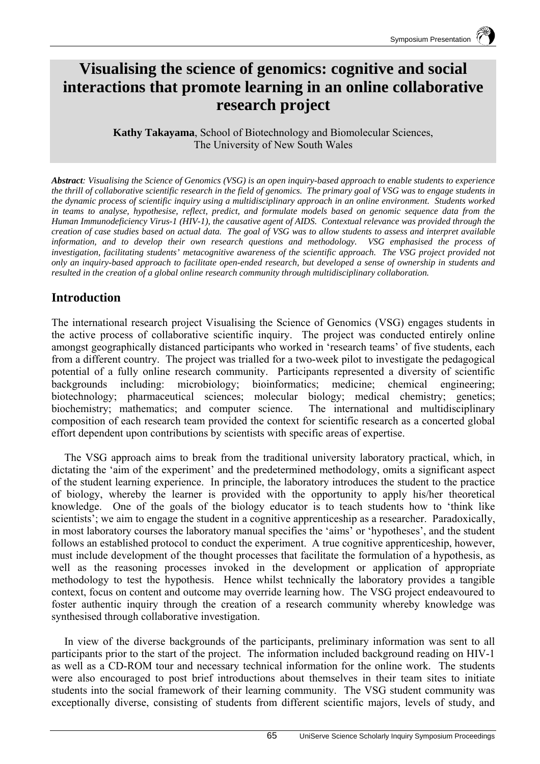# **Visualising the science of genomics: cognitive and social interactions that promote learning in an online collaborative research project**

**Kathy Takayama**, School of Biotechnology and Biomolecular Sciences, The University of New South Wales

*Abstract: Visualising the Science of Genomics (VSG) is an open inquiry-based approach to enable students to experience the thrill of collaborative scientific research in the field of genomics. The primary goal of VSG was to engage students in the dynamic process of scientific inquiry using a multidisciplinary approach in an online environment. Students worked in teams to analyse, hypothesise, reflect, predict, and formulate models based on genomic sequence data from the Human Immunodeficiency Virus-1 (HIV-1), the causative agent of AIDS. Contextual relevance was provided through the creation of case studies based on actual data. The goal of VSG was to allow students to assess and interpret available information, and to develop their own research questions and methodology. VSG emphasised the process of investigation, facilitating students' metacognitive awareness of the scientific approach. The VSG project provided not only an inquiry-based approach to facilitate open-ended research, but developed a sense of ownership in students and resulted in the creation of a global online research community through multidisciplinary collaboration.* 

## **Introduction**

The international research project Visualising the Science of Genomics (VSG) engages students in the active process of collaborative scientific inquiry. The project was conducted entirely online amongst geographically distanced participants who worked in 'research teams' of five students, each from a different country. The project was trialled for a two-week pilot to investigate the pedagogical potential of a fully online research community. Participants represented a diversity of scientific backgrounds including: microbiology; bioinformatics; medicine; chemical engineering; biotechnology; pharmaceutical sciences; molecular biology; medical chemistry; genetics; biochemistry; mathematics; and computer science. The international and multidisciplinary composition of each research team provided the context for scientific research as a concerted global effort dependent upon contributions by scientists with specific areas of expertise.

The VSG approach aims to break from the traditional university laboratory practical, which, in dictating the 'aim of the experiment' and the predetermined methodology, omits a significant aspect of the student learning experience. In principle, the laboratory introduces the student to the practice of biology, whereby the learner is provided with the opportunity to apply his/her theoretical knowledge. One of the goals of the biology educator is to teach students how to 'think like scientists'; we aim to engage the student in a cognitive apprenticeship as a researcher. Paradoxically, in most laboratory courses the laboratory manual specifies the 'aims' or 'hypotheses', and the student follows an established protocol to conduct the experiment. A true cognitive apprenticeship, however, must include development of the thought processes that facilitate the formulation of a hypothesis, as well as the reasoning processes invoked in the development or application of appropriate methodology to test the hypothesis. Hence whilst technically the laboratory provides a tangible context, focus on content and outcome may override learning how. The VSG project endeavoured to foster authentic inquiry through the creation of a research community whereby knowledge was synthesised through collaborative investigation.

In view of the diverse backgrounds of the participants, preliminary information was sent to all participants prior to the start of the project. The information included background reading on HIV-1 as well as a CD-ROM tour and necessary technical information for the online work. The students were also encouraged to post brief introductions about themselves in their team sites to initiate students into the social framework of their learning community. The VSG student community was exceptionally diverse, consisting of students from different scientific majors, levels of study, and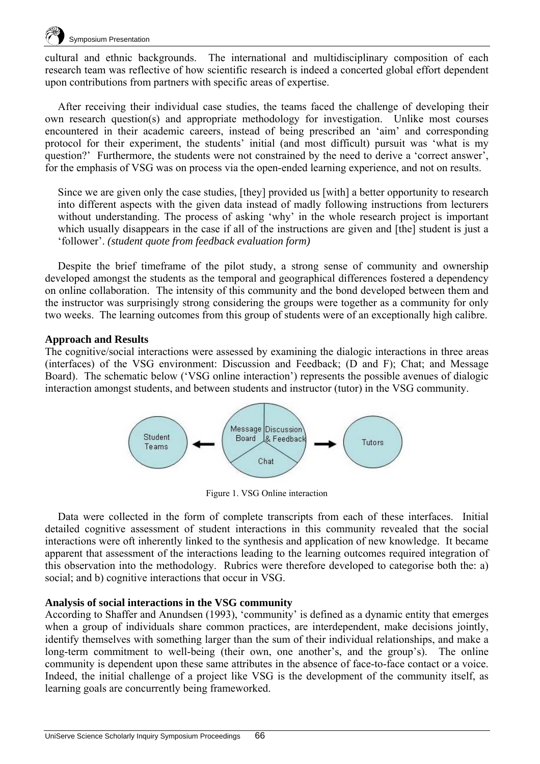

cultural and ethnic backgrounds. The international and multidisciplinary composition of each research team was reflective of how scientific research is indeed a concerted global effort dependent upon contributions from partners with specific areas of expertise.

After receiving their individual case studies, the teams faced the challenge of developing their own research question(s) and appropriate methodology for investigation. Unlike most courses encountered in their academic careers, instead of being prescribed an 'aim' and corresponding protocol for their experiment, the students' initial (and most difficult) pursuit was 'what is my question?' Furthermore, the students were not constrained by the need to derive a 'correct answer', for the emphasis of VSG was on process via the open-ended learning experience, and not on results.

Since we are given only the case studies, [they] provided us [with] a better opportunity to research into different aspects with the given data instead of madly following instructions from lecturers without understanding. The process of asking 'why' in the whole research project is important which usually disappears in the case if all of the instructions are given and [the] student is just a 'follower'. *(student quote from feedback evaluation form)*

Despite the brief timeframe of the pilot study, a strong sense of community and ownership developed amongst the students as the temporal and geographical differences fostered a dependency on online collaboration. The intensity of this community and the bond developed between them and the instructor was surprisingly strong considering the groups were together as a community for only two weeks. The learning outcomes from this group of students were of an exceptionally high calibre.

#### **Approach and Results**

The cognitive/social interactions were assessed by examining the dialogic interactions in three areas (interfaces) of the VSG environment: Discussion and Feedback; (D and F); Chat; and Message Board). The schematic below ('VSG online interaction') represents the possible avenues of dialogic interaction amongst students, and between students and instructor (tutor) in the VSG community.



Figure 1. VSG Online interaction

Data were collected in the form of complete transcripts from each of these interfaces. Initial detailed cognitive assessment of student interactions in this community revealed that the social interactions were oft inherently linked to the synthesis and application of new knowledge. It became apparent that assessment of the interactions leading to the learning outcomes required integration of this observation into the methodology. Rubrics were therefore developed to categorise both the: a) social; and b) cognitive interactions that occur in VSG.

#### **Analysis of social interactions in the VSG community**

According to Shaffer and Anundsen (1993), 'community' is defined as a dynamic entity that emerges when a group of individuals share common practices, are interdependent, make decisions jointly, identify themselves with something larger than the sum of their individual relationships, and make a long-term commitment to well-being (their own, one another's, and the group's). The online community is dependent upon these same attributes in the absence of face-to-face contact or a voice. Indeed, the initial challenge of a project like VSG is the development of the community itself, as learning goals are concurrently being frameworked.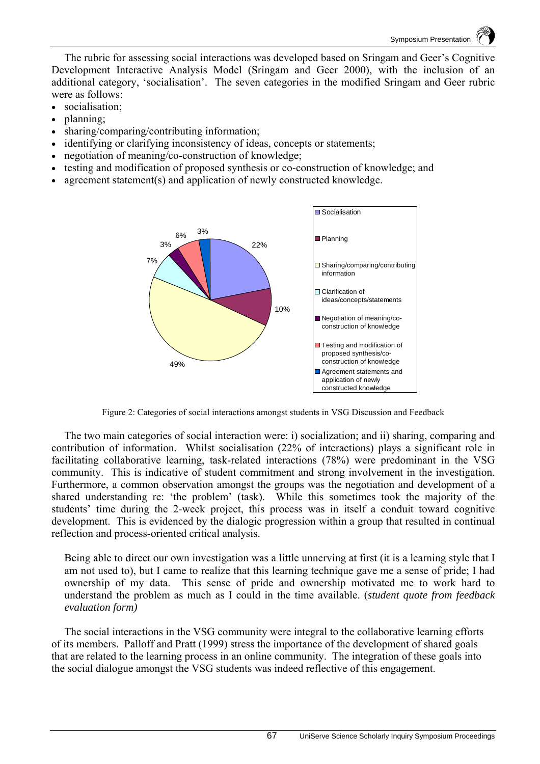The rubric for assessing social interactions was developed based on Sringam and Geer's Cognitive Development Interactive Analysis Model (Sringam and Geer 2000), with the inclusion of an additional category, 'socialisation'. The seven categories in the modified Sringam and Geer rubric were as follows:

- socialisation:
- planning;
- sharing/comparing/contributing information;
- identifying or clarifying inconsistency of ideas, concepts or statements;
- negotiation of meaning/co-construction of knowledge;
- testing and modification of proposed synthesis or co-construction of knowledge; and
- agreement statement(s) and application of newly constructed knowledge.



Figure 2: Categories of social interactions amongst students in VSG Discussion and Feedback

The two main categories of social interaction were: i) socialization; and ii) sharing, comparing and contribution of information. Whilst socialisation (22% of interactions) plays a significant role in facilitating collaborative learning, task-related interactions (78%) were predominant in the VSG community. This is indicative of student commitment and strong involvement in the investigation. Furthermore, a common observation amongst the groups was the negotiation and development of a shared understanding re: 'the problem' (task). While this sometimes took the majority of the students' time during the 2-week project, this process was in itself a conduit toward cognitive development. This is evidenced by the dialogic progression within a group that resulted in continual reflection and process-oriented critical analysis.

Being able to direct our own investigation was a little unnerving at first (it is a learning style that I am not used to), but I came to realize that this learning technique gave me a sense of pride; I had ownership of my data. This sense of pride and ownership motivated me to work hard to understand the problem as much as I could in the time available. (*student quote from feedback evaluation form)*

The social interactions in the VSG community were integral to the collaborative learning efforts of its members. Palloff and Pratt (1999) stress the importance of the development of shared goals that are related to the learning process in an online community. The integration of these goals into the social dialogue amongst the VSG students was indeed reflective of this engagement.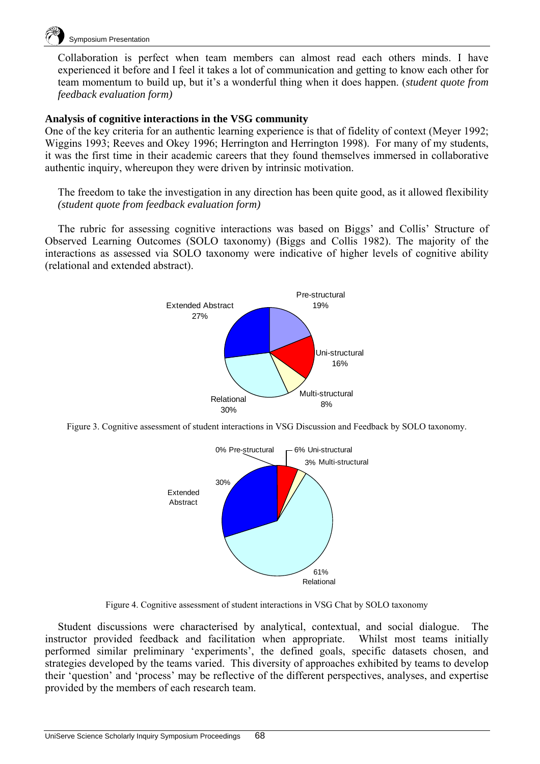

Collaboration is perfect when team members can almost read each others minds. I have experienced it before and I feel it takes a lot of communication and getting to know each other for team momentum to build up, but it's a wonderful thing when it does happen. (*student quote from feedback evaluation form)*

#### **Analysis of cognitive interactions in the VSG community**

One of the key criteria for an authentic learning experience is that of fidelity of context (Meyer 1992; Wiggins 1993; Reeves and Okey 1996; Herrington and Herrington 1998). For many of my students, it was the first time in their academic careers that they found themselves immersed in collaborative authentic inquiry, whereupon they were driven by intrinsic motivation.

The freedom to take the investigation in any direction has been quite good, as it allowed flexibility *(student quote from feedback evaluation form)* 

The rubric for assessing cognitive interactions was based on Biggs' and Collis' Structure of Observed Learning Outcomes (SOLO taxonomy) (Biggs and Collis 1982). The majority of the interactions as assessed via SOLO taxonomy were indicative of higher levels of cognitive ability (relational and extended abstract).



Figure 3. Cognitive assessment of student interactions in VSG Discussion and Feedback by SOLO taxonomy.



Figure 4. Cognitive assessment of student interactions in VSG Chat by SOLO taxonomy

Student discussions were characterised by analytical, contextual, and social dialogue. The instructor provided feedback and facilitation when appropriate. Whilst most teams initially performed similar preliminary 'experiments', the defined goals, specific datasets chosen, and strategies developed by the teams varied. This diversity of approaches exhibited by teams to develop their 'question' and 'process' may be reflective of the different perspectives, analyses, and expertise provided by the members of each research team.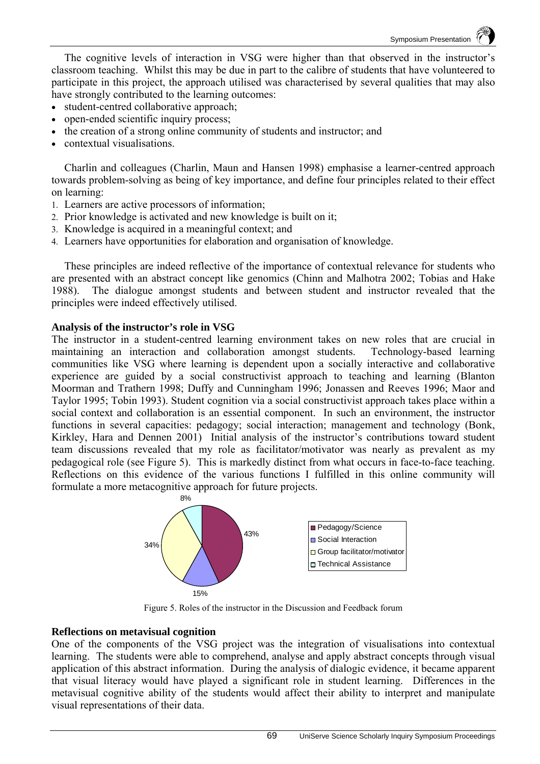The cognitive levels of interaction in VSG were higher than that observed in the instructor's classroom teaching. Whilst this may be due in part to the calibre of students that have volunteered to participate in this project, the approach utilised was characterised by several qualities that may also have strongly contributed to the learning outcomes:

- student-centred collaborative approach;
- open-ended scientific inquiry process;
- the creation of a strong online community of students and instructor; and
- contextual visualisations.

Charlin and colleagues (Charlin, Maun and Hansen 1998) emphasise a learner-centred approach towards problem-solving as being of key importance, and define four principles related to their effect on learning:

- 1. Learners are active processors of information;
- 2. Prior knowledge is activated and new knowledge is built on it;
- 3. Knowledge is acquired in a meaningful context; and
- 4. Learners have opportunities for elaboration and organisation of knowledge.

These principles are indeed reflective of the importance of contextual relevance for students who are presented with an abstract concept like genomics (Chinn and Malhotra 2002; Tobias and Hake 1988). The dialogue amongst students and between student and instructor revealed that the principles were indeed effectively utilised.

#### **Analysis of the instructor's role in VSG**

The instructor in a student-centred learning environment takes on new roles that are crucial in maintaining an interaction and collaboration amongst students. Technology-based learning communities like VSG where learning is dependent upon a socially interactive and collaborative experience are guided by a social constructivist approach to teaching and learning (Blanton Moorman and Trathern 1998; Duffy and Cunningham 1996; Jonassen and Reeves 1996; Maor and Taylor 1995; Tobin 1993). Student cognition via a social constructivist approach takes place within a social context and collaboration is an essential component. In such an environment, the instructor functions in several capacities: pedagogy; social interaction; management and technology (Bonk, Kirkley, Hara and Dennen 2001) Initial analysis of the instructor's contributions toward student team discussions revealed that my role as facilitator/motivator was nearly as prevalent as my pedagogical role (see Figure 5). This is markedly distinct from what occurs in face-to-face teaching. Reflections on this evidence of the various functions I fulfilled in this online community will formulate a more metacognitive approach for future projects.



Figure 5. Roles of the instructor in the Discussion and Feedback forum

### **Reflections on metavisual cognition**

One of the components of the VSG project was the integration of visualisations into contextual learning. The students were able to comprehend, analyse and apply abstract concepts through visual application of this abstract information. During the analysis of dialogic evidence, it became apparent that visual literacy would have played a significant role in student learning. Differences in the metavisual cognitive ability of the students would affect their ability to interpret and manipulate visual representations of their data.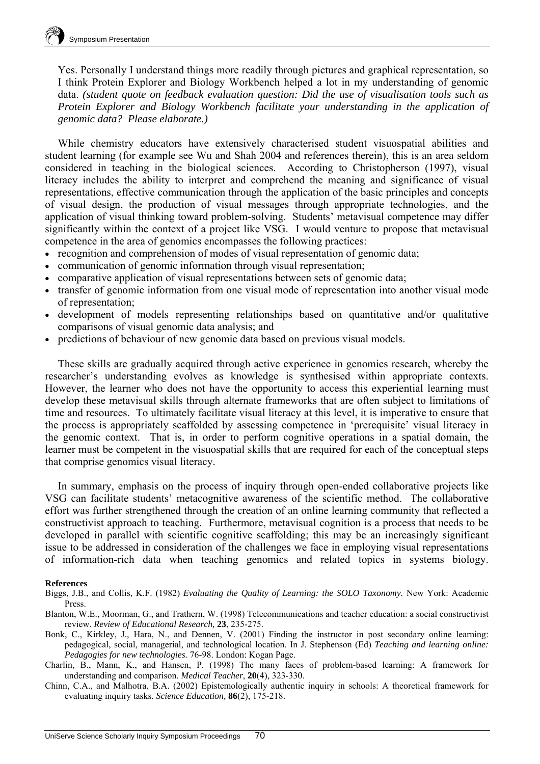Yes. Personally I understand things more readily through pictures and graphical representation, so I think Protein Explorer and Biology Workbench helped a lot in my understanding of genomic data. *(student quote on feedback evaluation question: Did the use of visualisation tools such as Protein Explorer and Biology Workbench facilitate your understanding in the application of genomic data? Please elaborate.)*

While chemistry educators have extensively characterised student visuospatial abilities and student learning (for example see Wu and Shah 2004 and references therein), this is an area seldom considered in teaching in the biological sciences. According to Christopherson (1997), visual literacy includes the ability to interpret and comprehend the meaning and significance of visual representations, effective communication through the application of the basic principles and concepts of visual design, the production of visual messages through appropriate technologies, and the application of visual thinking toward problem-solving. Students' metavisual competence may differ significantly within the context of a project like VSG. I would venture to propose that metavisual competence in the area of genomics encompasses the following practices:

- recognition and comprehension of modes of visual representation of genomic data;
- communication of genomic information through visual representation;
- comparative application of visual representations between sets of genomic data;
- transfer of genomic information from one visual mode of representation into another visual mode of representation;
- development of models representing relationships based on quantitative and/or qualitative comparisons of visual genomic data analysis; and
- predictions of behaviour of new genomic data based on previous visual models.

These skills are gradually acquired through active experience in genomics research, whereby the researcher's understanding evolves as knowledge is synthesised within appropriate contexts. However, the learner who does not have the opportunity to access this experiential learning must develop these metavisual skills through alternate frameworks that are often subject to limitations of time and resources. To ultimately facilitate visual literacy at this level, it is imperative to ensure that the process is appropriately scaffolded by assessing competence in 'prerequisite' visual literacy in the genomic context. That is, in order to perform cognitive operations in a spatial domain, the learner must be competent in the visuospatial skills that are required for each of the conceptual steps that comprise genomics visual literacy.

In summary, emphasis on the process of inquiry through open-ended collaborative projects like VSG can facilitate students' metacognitive awareness of the scientific method. The collaborative effort was further strengthened through the creation of an online learning community that reflected a constructivist approach to teaching. Furthermore, metavisual cognition is a process that needs to be developed in parallel with scientific cognitive scaffolding; this may be an increasingly significant issue to be addressed in consideration of the challenges we face in employing visual representations of information-rich data when teaching genomics and related topics in systems biology.

#### **References**

- Biggs, J.B., and Collis, K.F. (1982) *Evaluating the Quality of Learning: the SOLO Taxonomy.* New York: Academic Press.
- Blanton, W.E., Moorman, G., and Trathern, W. (1998) Telecommunications and teacher education: a social constructivist review. *Review of Educational Research,* **23**, 235-275.
- Bonk, C., Kirkley, J., Hara, N., and Dennen, V. (2001) Finding the instructor in post secondary online learning: pedagogical, social, managerial, and technological location. In J. Stephenson (Ed) *Teaching and learning online: Pedagogies for new technologies.* 76-98. London: Kogan Page.
- Charlin, B., Mann, K., and Hansen, P. (1998) The many faces of problem-based learning: A framework for understanding and comparison. *Medical Teacher*, **20**(4), 323-330.
- Chinn, C.A., and Malhotra, B.A. (2002) Epistemologically authentic inquiry in schools: A theoretical framework for evaluating inquiry tasks. *Science Education,* **86**(2), 175-218.